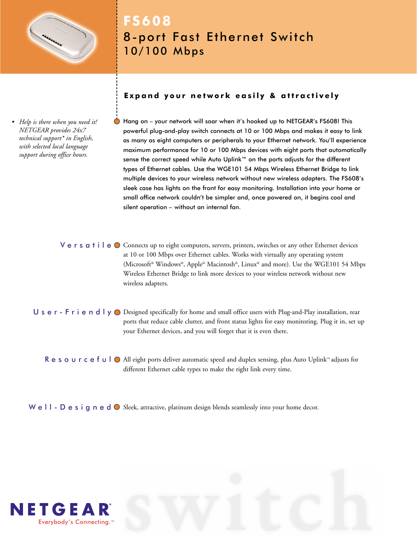

# **FS608** 8-port Fast Ethernet Switch 10/100 Mbps

*• Help is there when you need it! NETGEAR provides 24x7 technical support\* in English, with selected local language support during office hours.*

# **Expand your network easily & attractively**

Hang on – your network will soar when it's hooked up to NETGEAR's FS608! This powerful plug-and-play switch connects at 10 or 100 Mbps and makes it easy to link as many as eight computers or peripherals to your Ethernet network. You'll experience maximum performance for 10 or 100 Mbps devices with eight ports that automatically sense the correct speed while Auto Uplink™ on the ports adjusts for the different types of Ethernet cables. Use the WGE101 54 Mbps Wireless Ethernet Bridge to link multiple devices to your wireless network without new wireless adapters. The FS608's sleek case has lights on the front for easy monitoring. Installation into your home or small office network couldn't be simpler and, once powered on, it begins cool and silent operation – without an internal fan.

V e r s  $a$  t i l e  $\bullet$  Connects up to eight computers, servers, printers, switches or any other Ethernet devices at 10 or 100 Mbps over Ethernet cables. Works with virtually any operating system (Microsoft® Windows®, Apple® Macintosh®, Linux® and more). Use the WGE101 54 Mbps Wireless Ethernet Bridge to link more devices to your wireless network without new wireless adapters.

 $\sf U$  s  $\sf e$   $\sf r$  -  $\sf F$   $\sf r$  i  $\sf e$   $\sf n$   $\sf d$   $\sf l$   $\sf y$   $\sf O$  Designed specifically for home and small office users with Plug-and-Play installation, rear ports that reduce cable clutter, and front status lights for easy monitoring. Plug it in, set up your Ethernet devices, and you will forget that it is even there.

**R** e s o ∪ r c e f ∪ | ● All eight ports deliver automatic speed and duplex sensing, plus Auto Uplink™ adjusts for different Ethernet cable types to make the right link every time.

We  $\Box$  -  $\Box$  e s i g n e d  $\bigcirc$  Sleek, attractive, platinum design blends seamlessly into your home decor.